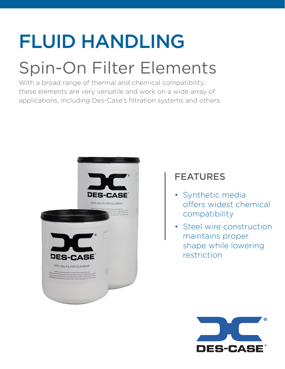# FLUID HANDLING

## Spin-On Filter Elements

With a broad range of thermal and chemical compatibility, these elements are very versatile and work on a wide array of applications, including Des-Case's filtration systems and others.



### FEATURES

- Synthetic media offers widest chemical compatibility
- Steel wire construction maintains proper shape while lowering restriction